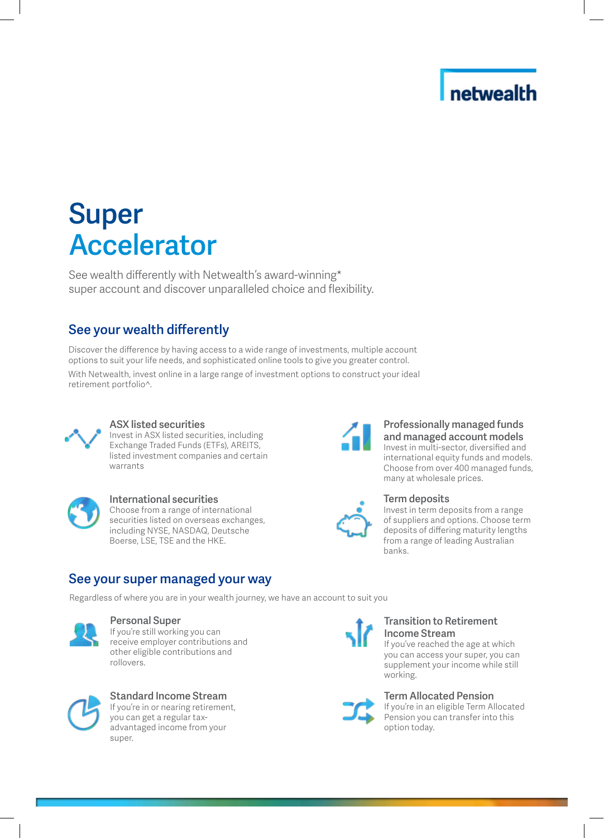## netwealth

# Super Accelerator

See wealth differently with Netwealth's award-winning\* super account and discover unparalleled choice and flexibility.

### See your wealth differently

Discover the difference by having access to a wide range of investments, multiple account options to suit your life needs, and sophisticated online tools to give you greater control.

With Netwealth, invest online in a large range of investment options to construct your ideal retirement portfolio^.



### ASX listed securities

Invest in ASX listed securities, including Exchange Traded Funds (ETFs), AREITS, listed investment companies and certain warrants



### International securities

Choose from a range of international securities listed on overseas exchanges, including NYSE, NASDAQ, Deutsche Boerse, LSE, TSE and the HKE.

### See your super managed your way

Regardless of where you are in your wealth journey, we have an account to suit you



### Personal Super

If you're still working you can receive employer contributions and other eligible contributions and rollovers.



Standard Income Stream If you're in or nearing retirement, you can get a regular taxadvantaged income from your super.



#### Professionally managed funds and managed account models Invest in multi-sector, diversified and international equity funds and models. Choose from over 400 managed funds, many at wholesale prices.



### Term deposits

Invest in term deposits from a range of suppliers and options. Choose term deposits of differing maturity lengths from a range of leading Australian banks.



### Transition to Retirement Income Stream

If you've reached the age at which you can access your super, you can supplement your income while still working.



If you're in an eligible Term Allocated Pension you can transfer into this option today.